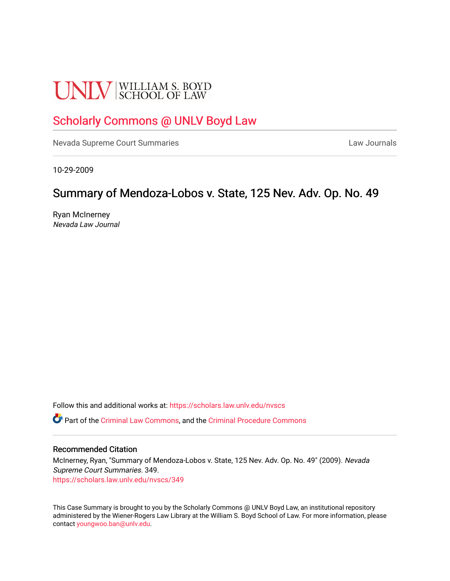# **UNLV** SCHOOL OF LAW

## [Scholarly Commons @ UNLV Boyd Law](https://scholars.law.unlv.edu/)

[Nevada Supreme Court Summaries](https://scholars.law.unlv.edu/nvscs) **Law Journals** Law Journals

10-29-2009

## Summary of Mendoza-Lobos v. State, 125 Nev. Adv. Op. No. 49

Ryan McInerney Nevada Law Journal

Follow this and additional works at: [https://scholars.law.unlv.edu/nvscs](https://scholars.law.unlv.edu/nvscs?utm_source=scholars.law.unlv.edu%2Fnvscs%2F349&utm_medium=PDF&utm_campaign=PDFCoverPages)

Part of the [Criminal Law Commons,](http://network.bepress.com/hgg/discipline/912?utm_source=scholars.law.unlv.edu%2Fnvscs%2F349&utm_medium=PDF&utm_campaign=PDFCoverPages) and the [Criminal Procedure Commons](http://network.bepress.com/hgg/discipline/1073?utm_source=scholars.law.unlv.edu%2Fnvscs%2F349&utm_medium=PDF&utm_campaign=PDFCoverPages)

#### Recommended Citation

McInerney, Ryan, "Summary of Mendoza-Lobos v. State, 125 Nev. Adv. Op. No. 49" (2009). Nevada Supreme Court Summaries. 349. [https://scholars.law.unlv.edu/nvscs/349](https://scholars.law.unlv.edu/nvscs/349?utm_source=scholars.law.unlv.edu%2Fnvscs%2F349&utm_medium=PDF&utm_campaign=PDFCoverPages)

This Case Summary is brought to you by the Scholarly Commons @ UNLV Boyd Law, an institutional repository administered by the Wiener-Rogers Law Library at the William S. Boyd School of Law. For more information, please contact [youngwoo.ban@unlv.edu](mailto:youngwoo.ban@unlv.edu).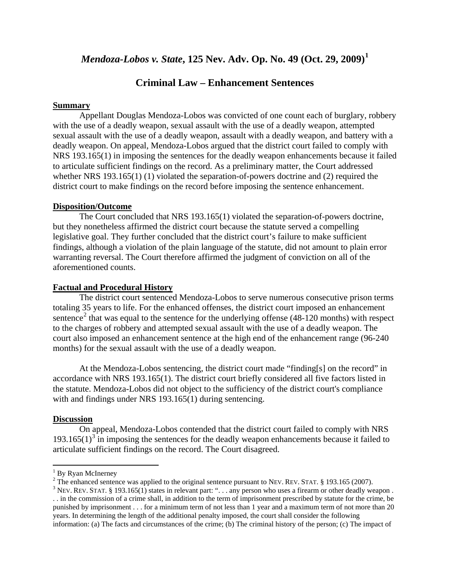## *Mendoza-Lobos v. State***, 125 Nev. Adv. Op. No. 49 (Oct. 29, 2009)[1](#page-1-0)**

### **Criminal Law – Enhancement Sentences**

#### **Summary**

Appellant Douglas Mendoza-Lobos was convicted of one count each of burglary, robbery with the use of a deadly weapon, sexual assault with the use of a deadly weapon, attempted sexual assault with the use of a deadly weapon, assault with a deadly weapon, and battery with a deadly weapon. On appeal, Mendoza-Lobos argued that the district court failed to comply with NRS 193.165(1) in imposing the sentences for the deadly weapon enhancements because it failed to articulate sufficient findings on the record. As a preliminary matter, the Court addressed whether NRS 193.165(1) (1) violated the separation-of-powers doctrine and (2) required the district court to make findings on the record before imposing the sentence enhancement.

#### **Disposition/Outcome**

The Court concluded that NRS 193.165(1) violated the separation-of-powers doctrine, but they nonetheless affirmed the district court because the statute served a compelling legislative goal. They further concluded that the district court's failure to make sufficient findings, although a violation of the plain language of the statute, did not amount to plain error warranting reversal. The Court therefore affirmed the judgment of conviction on all of the aforementioned counts.

#### **Factual and Procedural History**

The district court sentenced Mendoza-Lobos to serve numerous consecutive prison terms totaling 35 years to life. For the enhanced offenses, the district court imposed an enhancement sentence<sup>[2](#page-1-1)</sup> that was equal to the sentence for the underlying offense  $(48-120 \text{ months})$  with respect to the charges of robbery and attempted sexual assault with the use of a deadly weapon. The court also imposed an enhancement sentence at the high end of the enhancement range (96-240 months) for the sexual assault with the use of a deadly weapon.

At the Mendoza-Lobos sentencing, the district court made "finding[s] on the record" in accordance with NRS 193.165(1). The district court briefly considered all five factors listed in the statute. Mendoza-Lobos did not object to the sufficiency of the district court's compliance with and findings under NRS 193.165(1) during sentencing.

#### **Discussion**

 $\overline{\phantom{0}}$ 

On appeal, Mendoza-Lobos contended that the district court failed to comply with NRS  $193.165(1)<sup>3</sup>$  $193.165(1)<sup>3</sup>$  $193.165(1)<sup>3</sup>$  in imposing the sentences for the deadly weapon enhancements because it failed to articulate sufficient findings on the record. The Court disagreed.

<span id="page-1-1"></span><span id="page-1-0"></span><sup>&</sup>lt;sup>1</sup> By Ryan McInerney<br><sup>2</sup> The enhanced sentence was applied to the original sentence pursuant to NEV. REV. STAT. § 193.165 (2007).

<span id="page-1-2"></span><sup>&</sup>lt;sup>3</sup> NEV. REV. STAT. § 193.165(1) states in relevant part: ". . . any person who uses a firearm or other deadly weapon . . . in the commission of a crime shall, in addition to the term of imprisonment prescribed by statute for the crime, be punished by imprisonment . . . for a minimum term of not less than 1 year and a maximum term of not more than 20 years. In determining the length of the additional penalty imposed, the court shall consider the following information: (a) The facts and circumstances of the crime; (b) The criminal history of the person; (c) The impact of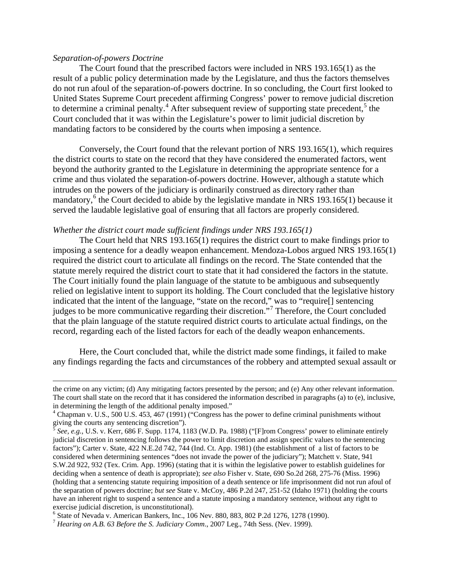#### *Separation-of-powers Doctrine*

 $\overline{\phantom{0}}$ 

The Court found that the prescribed factors were included in NRS 193.165(1) as the result of a public policy determination made by the Legislature, and thus the factors themselves do not run afoul of the separation-of-powers doctrine. In so concluding, the Court first looked to United States Supreme Court precedent affirming Congress' power to remove judicial discretion to determine a criminal penalty.<sup>[4](#page-2-0)</sup> After subsequent review of supporting state precedent,<sup>[5](#page-2-1)</sup> the Court concluded that it was within the Legislature's power to limit judicial discretion by mandating factors to be considered by the courts when imposing a sentence.

Conversely, the Court found that the relevant portion of NRS 193.165(1), which requires the district courts to state on the record that they have considered the enumerated factors, went beyond the authority granted to the Legislature in determining the appropriate sentence for a crime and thus violated the separation-of-powers doctrine. However, although a statute which intrudes on the powers of the judiciary is ordinarily construed as directory rather than mandatory, $6$  the Court decided to abide by the legislative mandate in NRS 193.165(1) because it served the laudable legislative goal of ensuring that all factors are properly considered.

#### *Whether the district court made sufficient findings under NRS 193.165(1)*

The Court held that NRS 193.165(1) requires the district court to make findings prior to imposing a sentence for a deadly weapon enhancement. Mendoza-Lobos argued NRS 193.165(1) required the district court to articulate all findings on the record. The State contended that the statute merely required the district court to state that it had considered the factors in the statute. The Court initially found the plain language of the statute to be ambiguous and subsequently relied on legislative intent to support its holding. The Court concluded that the legislative history indicated that the intent of the language, "state on the record," was to "require[] sentencing judges to be more communicative regarding their discretion."<sup>[7](#page-2-3)</sup> Therefore, the Court concluded that the plain language of the statute required district courts to articulate actual findings, on the record, regarding each of the listed factors for each of the deadly weapon enhancements.

Here, the Court concluded that, while the district made some findings, it failed to make any findings regarding the facts and circumstances of the robbery and attempted sexual assault or

the crime on any victim; (d) Any mitigating factors presented by the person; and (e) Any other relevant information. The court shall state on the record that it has considered the information described in paragraphs (a) to (e), inclusive, in determining the length of the additional penalty imposed."<br><sup>4</sup> Chapman v. U.S., 500 U.S. 453, 467 (1991) ("Congress has the power to define criminal punishments without

<span id="page-2-0"></span>giving the courts any sentencing discretion").

<span id="page-2-1"></span><sup>5</sup> *See, e.g.*, U.S. v. Kerr, 686 F. Supp. 1174, 1183 (W.D. Pa. 1988) ("[F]rom Congress' power to eliminate entirely judicial discretion in sentencing follows the power to limit discretion and assign specific values to the sentencing factors"); Carter v. State, 422 N.E.2d 742, 744 (Ind. Ct. App. 1981) (the establishment of a list of factors to be considered when determining sentences "does not invade the power of the judiciary"); Matchett v. State, 941 S.W.2d 922, 932 (Tex. Crim. App. 1996) (stating that it is within the legislative power to establish guidelines for deciding when a sentence of death is appropriate); *see also* Fisher v. State, 690 So.2d 268, 275-76 (Miss. 1996) (holding that a sentencing statute requiring imposition of a death sentence or life imprisonment did not run afoul of the separation of powers doctrine; *but see* State v. McCoy, 486 P.2d 247, 251-52 (Idaho 1971) (holding the courts have an inherent right to suspend a sentence and a statute imposing a mandatory sentence, without any right to exercise judicial discretion, is unconstitutional).

<span id="page-2-2"></span><sup>&</sup>lt;sup>6</sup> State of Nevada v. American Bankers, Inc., 106 Nev. 880, 883, 802 P.2d 1276, 1278 (1990).<br><sup>7</sup> Hearing on A.B. 63 Before the S. Judiciary Comm., 2007 Leg., 74th Sess. (Nev. 1999).

<span id="page-2-3"></span>